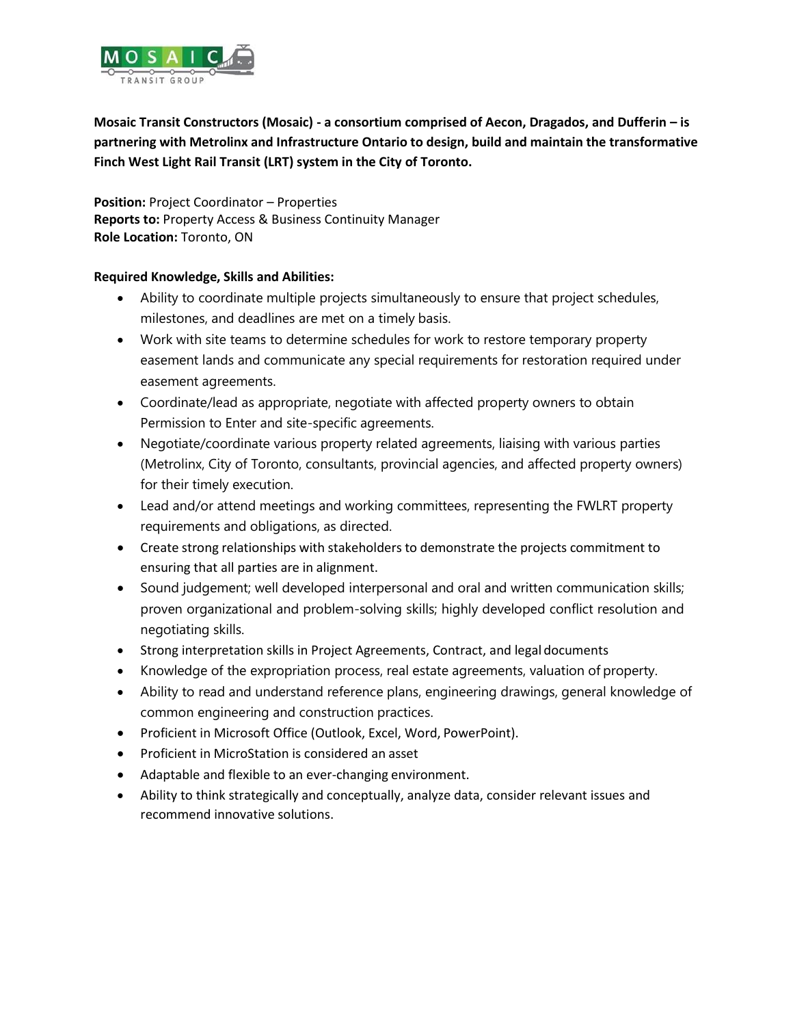

**Mosaic Transit Constructors (Mosaic) - a consortium comprised of Aecon, Dragados, and Dufferin – is partnering with Metrolinx and Infrastructure Ontario to design, build and maintain the transformative Finch West Light Rail Transit (LRT) system in the City of Toronto.**

**Position:** Project Coordinator – Properties **Reports to:** Property Access & Business Continuity Manager **Role Location:** Toronto, ON

## **Required Knowledge, Skills and Abilities:**

- Ability to coordinate multiple projects simultaneously to ensure that project schedules, milestones, and deadlines are met on a timely basis.
- Work with site teams to determine schedules for work to restore temporary property easement lands and communicate any special requirements for restoration required under easement agreements.
- Coordinate/lead as appropriate, negotiate with affected property owners to obtain Permission to Enter and site-specific agreements.
- Negotiate/coordinate various property related agreements, liaising with various parties (Metrolinx, City of Toronto, consultants, provincial agencies, and affected property owners) for their timely execution.
- Lead and/or attend meetings and working committees, representing the FWLRT property requirements and obligations, as directed.
- Create strong relationships with stakeholders to demonstrate the projects commitment to ensuring that all parties are in alignment.
- Sound judgement; well developed interpersonal and oral and written communication skills; proven organizational and problem-solving skills; highly developed conflict resolution and negotiating skills.
- Strong interpretation skills in Project Agreements, Contract, and legal documents
- Knowledge of the expropriation process, real estate agreements, valuation of property.
- Ability to read and understand reference plans, engineering drawings, general knowledge of common engineering and construction practices.
- Proficient in Microsoft Office (Outlook, Excel, Word, PowerPoint).
- Proficient in MicroStation is considered an asset
- Adaptable and flexible to an ever-changing environment.
- Ability to think strategically and conceptually, analyze data, consider relevant issues and recommend innovative solutions.